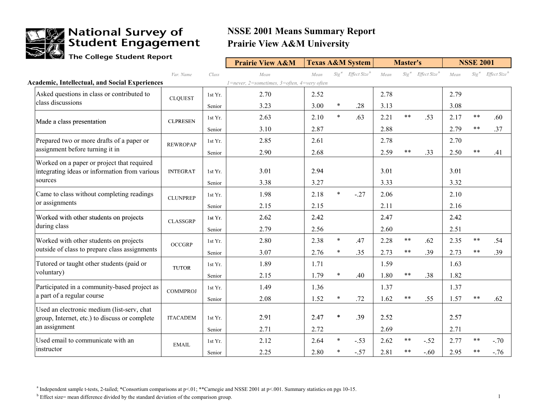

### **We National Survey of<br>Me Student Engagement**

### **NSSE 2001 Means Summary Report Prairie View A&M University**

The College Student Report

|                                                       |                 |         | <b>Prairie View A&amp;M</b>                 |      |        | <b>Texas A&amp;M System</b>               |      | <b>Master's</b> |                          |      | <b>NSSE 2001</b> |                                           |
|-------------------------------------------------------|-----------------|---------|---------------------------------------------|------|--------|-------------------------------------------|------|-----------------|--------------------------|------|------------------|-------------------------------------------|
|                                                       | Var. Name       | Class   | Mean                                        | Mean |        | Sig <sup>a</sup> Effect Size <sup>b</sup> | Mean | $Sig^a$         | Effect Size <sup>b</sup> | Mean |                  | Sig <sup>a</sup> Effect Size <sup>b</sup> |
| <b>Academic, Intellectual, and Social Experiences</b> |                 |         | 1=never, 2=sometimes, 3=often, 4=very often |      |        |                                           |      |                 |                          |      |                  |                                           |
| Asked questions in class or contributed to            | <b>CLQUEST</b>  | 1st Yr. | 2.70                                        | 2.52 |        |                                           | 2.78 |                 |                          | 2.79 |                  |                                           |
| class discussions                                     |                 | Senior  | 3.23                                        | 3.00 | $\ast$ | .28                                       | 3.13 |                 |                          | 3.08 |                  |                                           |
| Made a class presentation                             | <b>CLPRESEN</b> | 1st Yr. | 2.63                                        | 2.10 | $\ast$ | .63                                       | 2.21 | $***$           | .53                      | 2.17 | $***$            | .60                                       |
|                                                       |                 | Senior  | 3.10                                        | 2.87 |        |                                           | 2.88 |                 |                          | 2.79 | $* *$            | .37                                       |
| Prepared two or more drafts of a paper or             | <b>REWROPAP</b> | 1st Yr. | 2.85                                        | 2.61 |        |                                           | 2.78 |                 |                          | 2.70 |                  |                                           |
| assignment before turning it in                       |                 | Senior  | 2.90                                        | 2.68 |        |                                           | 2.59 | $\ast\ast$      | .33                      | 2.50 | $***$            | .41                                       |
| Worked on a paper or project that required            |                 |         |                                             |      |        |                                           |      |                 |                          |      |                  |                                           |
| integrating ideas or information from various         | <b>INTEGRAT</b> | 1st Yr. | 3.01                                        | 2.94 |        |                                           | 3.01 |                 |                          | 3.01 |                  |                                           |
| sources                                               |                 | Senior  | 3.38                                        | 3.27 |        |                                           | 3.33 |                 |                          | 3.32 |                  |                                           |
| Came to class without completing readings             | <b>CLUNPREP</b> | 1st Yr. | 1.98                                        | 2.18 | $\ast$ | $-.27$                                    | 2.06 |                 |                          | 2.10 |                  |                                           |
| or assignments                                        |                 | Senior  | 2.15                                        | 2.15 |        |                                           | 2.11 |                 |                          | 2.16 |                  |                                           |
| Worked with other students on projects                | <b>CLASSGRP</b> | 1st Yr. | 2.62                                        | 2.42 |        |                                           | 2.47 |                 |                          | 2.42 |                  |                                           |
| during class                                          |                 | Senior  | 2.79                                        | 2.56 |        |                                           | 2.60 |                 |                          | 2.51 |                  |                                           |
| Worked with other students on projects                | <b>OCCGRP</b>   | 1st Yr. | 2.80                                        | 2.38 | $\ast$ | .47                                       | 2.28 | $\ast\ast$      | .62                      | 2.35 | $***$            | .54                                       |
| outside of class to prepare class assignments         |                 | Senior  | 3.07                                        | 2.76 | $\ast$ | .35                                       | 2.73 | $***$           | .39                      | 2.73 | $* *$            | .39                                       |
| Tutored or taught other students (paid or             | <b>TUTOR</b>    | 1st Yr. | 1.89                                        | 1.71 |        |                                           | 1.59 |                 |                          | 1.63 |                  |                                           |
| voluntary)                                            |                 | Senior  | 2.15                                        | 1.79 | $\ast$ | .40                                       | 1.80 | $\ast$ $\ast$   | .38                      | 1.82 |                  |                                           |
| Participated in a community-based project as          | <b>COMMPROJ</b> | 1st Yr. | 1.49                                        | 1.36 |        |                                           | 1.37 |                 |                          | 1.37 |                  |                                           |
| a part of a regular course                            |                 | Senior  | 2.08                                        | 1.52 | $\ast$ | .72                                       | 1.62 | $***$           | .55                      | 1.57 | $***$            | .62                                       |
| Used an electronic medium (list-serv, chat            |                 |         |                                             |      |        |                                           |      |                 |                          |      |                  |                                           |
| group, Internet, etc.) to discuss or complete         | <b>ITACADEM</b> | 1st Yr. | 2.91                                        | 2.47 | $\ast$ | .39                                       | 2.52 |                 |                          | 2.57 |                  |                                           |
| an assignment                                         |                 | Senior  | 2.71                                        | 2.72 |        |                                           | 2.69 |                 |                          | 2.71 |                  |                                           |
| Used email to communicate with an                     | <b>EMAIL</b>    | 1st Yr. | 2.12                                        | 2.64 | $\ast$ | $-.53$                                    | 2.62 | $\ast\ast$      | $-.52$                   | 2.77 | $***$            | $-.70$                                    |
| instructor                                            |                 | Senior  | 2.25                                        | 2.80 |        | $-.57$                                    | 2.81 | $***$           | $-.60$                   | 2.95 | $* *$            | $-.76$                                    |

<sup>a</sup> Independent sample t-tests, 2-tailed; \*Consortium comparisons at p<.01; \*\*Carnegie and NSSE 2001 at p<.001. Summary statistics on pgs 10-15.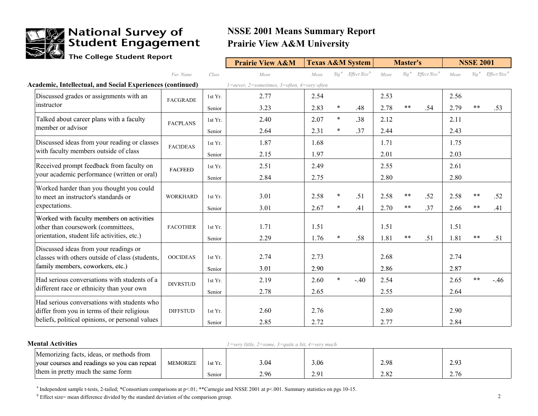

## **We National Survey of<br>Student Engagement**

### **NSSE 2001 Means Summary Report Prairie View A&M University**

The College Student Report

|                                                                                          |                 |         | <b>Prairie View A&amp;M</b>                 |      |        | <b>Texas A&amp;M System</b>               |      | <b>Master's</b> |                          |      | <b>NSSE 2001</b> |                                           |
|------------------------------------------------------------------------------------------|-----------------|---------|---------------------------------------------|------|--------|-------------------------------------------|------|-----------------|--------------------------|------|------------------|-------------------------------------------|
|                                                                                          | Var. Name       | Class   | Mean                                        | Mean |        | Sig <sup>a</sup> Effect Size <sup>b</sup> | Mean | $Sig^a$         | Effect Size <sup>b</sup> | Mean |                  | Sig <sup>a</sup> Effect Size <sup>b</sup> |
| Academic, Intellectual, and Social Experiences (continued)                               |                 |         | 1=never, 2=sometimes, 3=often, 4=very often |      |        |                                           |      |                 |                          |      |                  |                                           |
| Discussed grades or assignments with an                                                  | <b>FACGRADE</b> | 1st Yr. | 2.77                                        | 2.54 |        |                                           | 2.53 |                 |                          | 2.56 |                  |                                           |
| instructor                                                                               |                 | Senior  | 3.23                                        | 2.83 | $\ast$ | .48                                       | 2.78 | $***$           | .54                      | 2.79 | $***$            | .53                                       |
| Talked about career plans with a faculty                                                 | <b>FACPLANS</b> | 1st Yr. | 2.40                                        | 2.07 | $\ast$ | .38                                       | 2.12 |                 |                          | 2.11 |                  |                                           |
| member or advisor                                                                        |                 | Senior  | 2.64                                        | 2.31 | $\ast$ | .37                                       | 2.44 |                 |                          | 2.43 |                  |                                           |
| Discussed ideas from your reading or classes                                             | <b>FACIDEAS</b> | 1st Yr. | 1.87                                        | 1.68 |        |                                           | 1.71 |                 |                          | 1.75 |                  |                                           |
| with faculty members outside of class                                                    |                 | Senior  | 2.15                                        | 1.97 |        |                                           | 2.01 |                 |                          | 2.03 |                  |                                           |
| Received prompt feedback from faculty on                                                 | <b>FACFEED</b>  | 1st Yr. | 2.51                                        | 2.49 |        |                                           | 2.55 |                 |                          | 2.61 |                  |                                           |
| your academic performance (written or oral)                                              |                 | Senior  | 2.84                                        | 2.75 |        |                                           | 2.80 |                 |                          | 2.80 |                  |                                           |
| Worked harder than you thought you could<br>to meet an instructor's standards or         | <b>WORKHARD</b> | 1st Yr. | 3.01                                        | 2.58 | $\ast$ | .51                                       | 2.58 | $***$           | .52                      | 2.58 | $* *$            | .52                                       |
| expectations.                                                                            |                 | Senior  | 3.01                                        | 2.67 | $\ast$ | .41                                       | 2.70 | $***$           | .37                      | 2.66 | **               | .41                                       |
| Worked with faculty members on activities                                                |                 |         |                                             |      |        |                                           |      |                 |                          |      |                  |                                           |
| other than coursework (committees,                                                       | <b>FACOTHER</b> | 1st Yr. | 1.71                                        | 1.51 |        |                                           | 1.51 |                 |                          | 1.51 |                  |                                           |
| orientation, student life activities, etc.)                                              |                 | Senior  | 2.29                                        | 1.76 | *      | .58                                       | 1.81 | $***$           | .51                      | 1.81 | $***$            | .51                                       |
| Discussed ideas from your readings or<br>classes with others outside of class (students, | <b>OOCIDEAS</b> | 1st Yr. | 2.74                                        | 2.73 |        |                                           | 2.68 |                 |                          | 2.74 |                  |                                           |
| family members, coworkers, etc.)                                                         |                 | Senior  | 3.01                                        | 2.90 |        |                                           | 2.86 |                 |                          | 2.87 |                  |                                           |
| Had serious conversations with students of a                                             |                 | 1st Yr. | 2.19                                        | 2.60 | $\ast$ | $-.40$                                    | 2.54 |                 |                          | 2.65 | $**$             | $-.46$                                    |
| different race or ethnicity than your own                                                | <b>DIVRSTUD</b> |         | 2.78                                        | 2.65 |        |                                           | 2.55 |                 |                          | 2.64 |                  |                                           |
| Had serious conversations with students who                                              |                 | Senior  |                                             |      |        |                                           |      |                 |                          |      |                  |                                           |
| differ from you in terms of their religious                                              | <b>DIFFSTUD</b> | 1st Yr. | 2.60                                        | 2.76 |        |                                           | 2.80 |                 |                          | 2.90 |                  |                                           |
| beliefs, political opinions, or personal values                                          |                 | Senior  | 2.85                                        | 2.72 |        |                                           | 2.77 |                 |                          | 2.84 |                  |                                           |

| <b>Mental Activities</b>                    |                 |         | $1 =$ very little, $2 =$ some, $3 =$ quite a bit, $4 =$ very much |      |              |      |  |
|---------------------------------------------|-----------------|---------|-------------------------------------------------------------------|------|--------------|------|--|
| Memorizing facts, ideas, or methods from    |                 |         |                                                                   |      |              |      |  |
| vour courses and readings so you can repeat | <b>MEMORIZE</b> | 1st Yr. | 3.04                                                              | 3.06 | 2.98         | 2.93 |  |
| them in pretty much the same form           |                 | Senior  | 2.96                                                              | 2.9  | າ ຈາ<br>4.04 | 2.76 |  |

<sup>a</sup> Independent sample t-tests, 2-tailed; \*Consortium comparisons at p<.01; \*\*Carnegie and NSSE 2001 at p<.001. Summary statistics on pgs 10-15.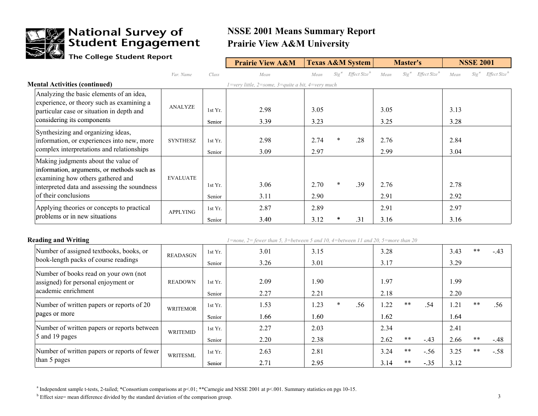

## **The National Survey of<br>Student Engagement**<br>The College Student Report

### **NSSE 2001 Means Summary Report Prairie View A&M University**

|                                                                                                                                                                                                |                 |                   | <b>Prairie View A&amp;M</b>                                                             | <b>Texas A&amp;M System</b> |         |                          |              | <b>Master's</b>                              |              | <b>NSSE 2001</b>                             |
|------------------------------------------------------------------------------------------------------------------------------------------------------------------------------------------------|-----------------|-------------------|-----------------------------------------------------------------------------------------|-----------------------------|---------|--------------------------|--------------|----------------------------------------------|--------------|----------------------------------------------|
|                                                                                                                                                                                                | Var. Name       | Class             | Mean                                                                                    | Mean                        | $Sig^a$ | Effect Size <sup>b</sup> | Mean         | Sig <sup>a</sup><br>Effect Size <sup>b</sup> | Mean         | Effect Size <sup>b</sup><br>Sig <sup>a</sup> |
| <b>Mental Activities (continued)</b>                                                                                                                                                           |                 |                   | $1 = \text{very little}, 2 = \text{some}, 3 = \text{quite a bit}, 4 = \text{very much}$ |                             |         |                          |              |                                              |              |                                              |
| Analyzing the basic elements of an idea,                                                                                                                                                       |                 |                   |                                                                                         |                             |         |                          |              |                                              |              |                                              |
| experience, or theory such as examining a<br>particular case or situation in depth and                                                                                                         | <b>ANALYZE</b>  | 1st Yr.           | 2.98                                                                                    | 3.05                        |         |                          | 3.05         |                                              | 3.13         |                                              |
| considering its components                                                                                                                                                                     |                 | Senior            | 3.39                                                                                    | 3.23                        |         |                          | 3.25         |                                              | 3.28         |                                              |
| Synthesizing and organizing ideas,<br>information, or experiences into new, more<br>complex interpretations and relationships                                                                  | <b>SYNTHESZ</b> | 1st Yr.<br>Senior | 2.98<br>3.09                                                                            | 2.74<br>2.97                |         | .28                      | 2.76<br>2.99 |                                              | 2.84<br>3.04 |                                              |
| Making judgments about the value of<br>information, arguments, or methods such as<br>examining how others gathered and<br>interpreted data and assessing the soundness<br>of their conclusions | <b>EVALUATE</b> | 1st Yr.<br>Senior | 3.06<br>3.11                                                                            | 2.70<br>2.90                | *       | .39                      | 2.76<br>2.91 |                                              | 2.78<br>2.92 |                                              |
| Applying theories or concepts to practical<br>problems or in new situations                                                                                                                    | <b>APPLYING</b> | 1st Yr.<br>Senior | 2.87<br>3.40                                                                            | 2.89<br>3.12                |         | .31                      | 2.91<br>3.16 |                                              | 2.97<br>3.16 |                                              |

| <b>Reading and Writing</b>                                                   |                 |         | $l = none$ , $2 = fewer$ than 5, $3 = between 5$ and 10, $4 = between 11$ and 20, $5 = more$ than 20 |      |        |     |      |       |        |      |       |        |
|------------------------------------------------------------------------------|-----------------|---------|------------------------------------------------------------------------------------------------------|------|--------|-----|------|-------|--------|------|-------|--------|
| Number of assigned textbooks, books, or                                      | <b>READASGN</b> | 1st Yr. | 3.01                                                                                                 | 3.15 |        |     | 3.28 |       |        | 3.43 | $***$ | $-.43$ |
| book-length packs of course readings                                         |                 | Senior  | 3.26                                                                                                 | 3.01 |        |     | 3.17 |       |        | 3.29 |       |        |
| Number of books read on your own (not<br>assigned) for personal enjoyment or | <b>READOWN</b>  | 1st Yr. | 2.09                                                                                                 | 1.90 |        |     | .97  |       |        | 1.99 |       |        |
| academic enrichment                                                          |                 | Senior  | 2.27                                                                                                 | 2.21 |        |     | 2.18 |       |        | 2.20 |       |        |
| Number of written papers or reports of 20                                    | <b>WRITEMOR</b> | 1st Yr. | 1.53                                                                                                 | 1.23 | $\ast$ | .56 | .22  | $***$ | .54    | 1.21 | $**$  | .56    |
| pages or more                                                                |                 | Senior  | 1.66                                                                                                 | 1.60 |        |     | l.62 |       |        | 1.64 |       |        |
| Number of written papers or reports between                                  | <b>WRITEMID</b> | 1st Yr. | 2.27                                                                                                 | 2.03 |        |     | 2.34 |       |        | 2.41 |       |        |
| 5 and 19 pages                                                               |                 | Senior  | 2.20                                                                                                 | 2.38 |        |     | 2.62 | $* *$ | $-.43$ | 2.66 | $**$  | $-.48$ |
| Number of written papers or reports of fewer                                 | <b>WRITESML</b> | 1st Yr. | 2.63                                                                                                 | 2.81 |        |     | 3.24 | $***$ | $-.56$ | 3.25 | $**$  | $-.58$ |
| than 5 pages                                                                 |                 | Senior  | 2.71                                                                                                 | 2.95 |        |     | 3.14 | $***$ | $-.35$ | 3.12 |       |        |

<sup>a</sup> Independent sample t-tests, 2-tailed; \*Consortium comparisons at p<.01; \*\*Carnegie and NSSE 2001 at p<.001. Summary statistics on pgs 10-15.

 $b$  Effect size= mean difference divided by the standard deviation of the comparison group. 3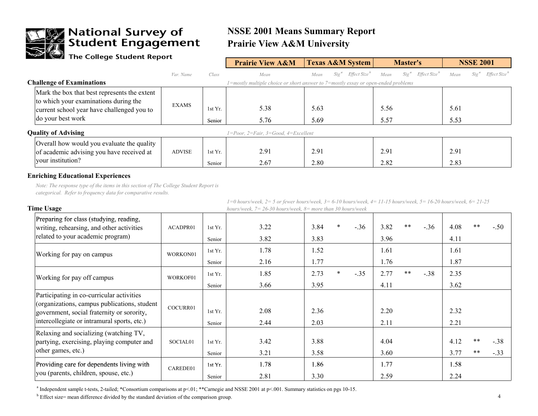

### **We National Survey of**<br>Student Engagement

### **NSSE 2001 Means Summary Report Prairie View A&M University**

### The College Student Report

| $\sim$ ine conege station report                                                                                                                         |               |                   | <b>Prairie View A&amp;M</b>                                                            | <b>Texas A&amp;M System</b>                 | <b>Master's</b>                             | <b>NSSE 2001</b>                            |
|----------------------------------------------------------------------------------------------------------------------------------------------------------|---------------|-------------------|----------------------------------------------------------------------------------------|---------------------------------------------|---------------------------------------------|---------------------------------------------|
|                                                                                                                                                          | Var. Name     | Class             | Mean                                                                                   | Effect Size <sup>b</sup><br>$Sig^a$<br>Mean | $Sig^a$<br>Effect Size <sup>b</sup><br>Mean | Effect Size <sup>b</sup><br>$Sig^a$<br>Mean |
| <b>Challenge of Examinations</b>                                                                                                                         |               |                   | $=$ mostly multiple choice or short answer to $7=$ mostly essay or open-ended problems |                                             |                                             |                                             |
| Mark the box that best represents the extent<br>to which your examinations during the<br>current school year have challenged you to<br>do your best work | <b>EXAMS</b>  | 1st Yr.<br>Senior | 5.38<br>5.76                                                                           | 5.63<br>5.69                                | 5.56<br>5.57                                | 5.61<br>5.53                                |
| <b>Quality of Advising</b>                                                                                                                               |               |                   | $1 = Poor$ , $2 = Fair$ , $3 = Good$ , $4 = Excel$ lent                                |                                             |                                             |                                             |
| Overall how would you evaluate the quality<br>of academic advising you have received at<br>your institution?                                             | <b>ADVISE</b> | 1st Yr.<br>Senior | 2.91<br>2.67                                                                           | 2.91<br>2.80                                | 2.91<br>2.82                                | 2.91<br>2.83                                |

#### **Enriching Educational Experiences**

*Note: The response type of the items in this section of The College Student Report is categorical. Refer to frequency data for comparative results.*

| <b>Time Usage</b>                                                                                                                                                                      |          |                   | 1=0 nours/week, 2= 3 or jewer nours/week, 3= 0-10 nours/week, 4= 11-13 nours/week, 3= 10-20 nours/week, 0= 21-23<br>hours/week, $7 = 26-30$ hours/week, $8 =$ more than 30 hours/week |              |        |        |              |       |        |              |             |                  |
|----------------------------------------------------------------------------------------------------------------------------------------------------------------------------------------|----------|-------------------|---------------------------------------------------------------------------------------------------------------------------------------------------------------------------------------|--------------|--------|--------|--------------|-------|--------|--------------|-------------|------------------|
| Preparing for class (studying, reading,<br>writing, rehearsing, and other activities<br>related to your academic program)                                                              | ACADPR01 | 1st Yr.<br>Senior | 3.22<br>3.82                                                                                                                                                                          | 3.84<br>3.83 | *      | $-.36$ | 3.82<br>3.96 | $**$  | $-.36$ | 4.08<br>4.11 | $**$        | $-.50$           |
| Working for pay on campus                                                                                                                                                              | WORKON01 | 1st Yr.<br>Senior | 1.78<br>2.16                                                                                                                                                                          | 1.52<br>1.77 |        |        | 1.61<br>1.76 |       |        | 1.61<br>1.87 |             |                  |
| Working for pay off campus                                                                                                                                                             | WORKOF01 | 1st Yr.<br>Senior | 1.85<br>3.66                                                                                                                                                                          | 2.73<br>3.95 | $\ast$ | $-.35$ | 2.77<br>4.11 | $***$ | $-.38$ | 2.35<br>3.62 |             |                  |
| Participating in co-curricular activities<br>(organizations, campus publications, student<br>government, social fraternity or sorority,<br>intercollegiate or intramural sports, etc.) | COCURR01 | 1st Yr.<br>Senior | 2.08<br>2.44                                                                                                                                                                          | 2.36<br>2.03 |        |        | 2.20<br>2.11 |       |        | 2.32<br>2.21 |             |                  |
| Relaxing and socializing (watching TV,<br>partying, exercising, playing computer and<br>other games, etc.)                                                                             | SOCIAL01 | 1st Yr.<br>Senior | 3.42<br>3.21                                                                                                                                                                          | 3.88<br>3.58 |        |        | 4.04<br>3.60 |       |        | 4.12<br>3.77 | $* *$<br>** | $-.38$<br>$-.33$ |
| Providing care for dependents living with<br>you (parents, children, spouse, etc.)                                                                                                     | CAREDE01 | 1st Yr.<br>Senior | 1.78<br>2.81                                                                                                                                                                          | 1.86<br>3.30 |        |        | 1.77<br>2.59 |       |        | 1.58<br>2.24 |             |                  |

*1=0 hours/week, 2= 5 or fewer hours/week, 3= 6-10 hours/week, 4= 11-15 hours/week, 5= 16-20 hours/week, 6= 21-25* 

<sup>a</sup> Independent sample t-tests, 2-tailed; \*Consortium comparisons at p<.01; \*\*Carnegie and NSSE 2001 at p<.001. Summary statistics on pgs 10-15.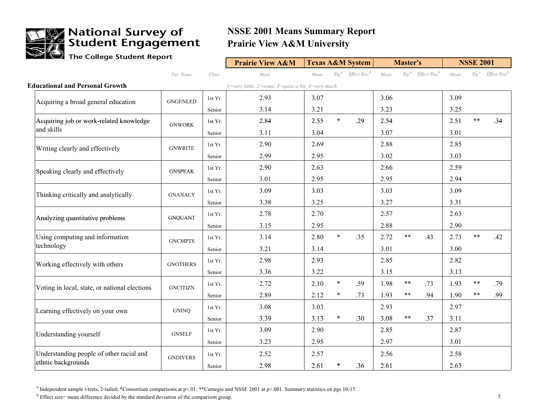

### **Allege Mational Survey of<br>Allegement** Engagement

### **NSSE 2001 Means Summary Report Prairie View A&M University**

The College Student Report

|                                               |                 |         | <b>Prairie View A&amp;M</b>                                                             |      |        | <b>Texas A&amp;M System</b>      |      | <b>Master's</b> |                                           |      | <b>NSSE 2001</b> |                                           |
|-----------------------------------------------|-----------------|---------|-----------------------------------------------------------------------------------------|------|--------|----------------------------------|------|-----------------|-------------------------------------------|------|------------------|-------------------------------------------|
|                                               | Var. Name       | Class   | Mean                                                                                    | Mean |        | $Sig^a$ Effect Size <sup>b</sup> | Mean |                 | Sig <sup>a</sup> Effect Size <sup>b</sup> | Mean |                  | Sig <sup>a</sup> Effect Size <sup>b</sup> |
| <b>Educational and Personal Growth</b>        |                 |         | $1 = \text{very little}, 2 = \text{some}, 3 = \text{quite a bit}, 4 = \text{very much}$ |      |        |                                  |      |                 |                                           |      |                  |                                           |
| Acquiring a broad general education           | <b>GNGENLED</b> | 1st Yr. | 2.93                                                                                    | 3.07 |        |                                  | 3.06 |                 |                                           | 3.09 |                  |                                           |
|                                               |                 | Senior  | 3.14                                                                                    | 3.21 |        |                                  | 3.23 |                 |                                           | 3.25 |                  |                                           |
| Acquiring job or work-related knowledge       | <b>GNWORK</b>   | 1st Yr. | 2.84                                                                                    | 2.55 | $\ast$ | .29                              | 2.54 |                 |                                           | 2.51 | $\ast\ast$       | .34                                       |
| and skills                                    |                 | Senior  | 3.11                                                                                    | 3.04 |        |                                  | 3.07 |                 |                                           | 3.01 |                  |                                           |
| Writing clearly and effectively               | <b>GNWRITE</b>  | 1st Yr. | 2.90                                                                                    | 2.69 |        |                                  | 2.88 |                 |                                           | 2.85 |                  |                                           |
|                                               |                 | Senior  | 2.99                                                                                    | 2.95 |        |                                  | 3.02 |                 |                                           | 3.03 |                  |                                           |
| Speaking clearly and effectively              | <b>GNSPEAK</b>  | 1st Yr. | 2.90                                                                                    | 2.63 |        |                                  | 2.66 |                 |                                           | 2.59 |                  |                                           |
|                                               |                 | Senior  | 3.01                                                                                    | 2.95 |        |                                  | 2.95 |                 |                                           | 2.94 |                  |                                           |
| Thinking critically and analytically          | <b>GNANALY</b>  | 1st Yr. | 3.09                                                                                    | 3.03 |        |                                  | 3.03 |                 |                                           | 3.09 |                  |                                           |
|                                               |                 | Senior  | 3.38                                                                                    | 3.25 |        |                                  | 3.27 |                 |                                           | 3.31 |                  |                                           |
| Analyzing quantitative problems               | <b>GNQUANT</b>  | 1st Yr. | 2.78                                                                                    | 2.70 |        |                                  | 2.57 |                 |                                           | 2.63 |                  |                                           |
|                                               |                 | Senior  | 3.15                                                                                    | 2.95 |        |                                  | 2.88 |                 |                                           | 2.90 |                  |                                           |
| Using computing and information               | <b>GNCMPTS</b>  | 1st Yr. | 3.14                                                                                    | 2.80 | $\ast$ | .35                              | 2.72 | $\ast\ast$      | .43                                       | 2.73 | $***$            | .42                                       |
| technology                                    |                 | Senior  | 3.21                                                                                    | 3.14 |        |                                  | 3.01 |                 |                                           | 3.00 |                  |                                           |
| Working effectively with others               | <b>GNOTHERS</b> | 1st Yr. | 2.98                                                                                    | 2.93 |        |                                  | 2.85 |                 |                                           | 2.82 |                  |                                           |
|                                               |                 | Senior  | 3.36                                                                                    | 3.22 |        |                                  | 3.15 |                 |                                           | 3.13 |                  |                                           |
| Voting in local, state, or national elections | <b>GNCITIZN</b> | 1st Yr. | 2.72                                                                                    | 2.10 | $\ast$ | .59                              | 1.98 | $\ast\ast$      | .73                                       | 1.93 | $***$            | .79                                       |
|                                               |                 | Senior  | 2.89                                                                                    | 2.12 | $\ast$ | .73                              | 1.93 | $***$           | .94                                       | 1.90 | $***$            | .99                                       |
| Learning effectively on your own              | <b>GNINQ</b>    | 1st Yr. | 3.08                                                                                    | 3.03 |        |                                  | 2.93 |                 |                                           | 2.97 |                  |                                           |
|                                               |                 | Senior  | 3.39                                                                                    | 3.13 | $\ast$ | .30                              | 3.08 | $\ast\ast$      | .37                                       | 3.11 |                  |                                           |
| Understanding yourself                        | <b>GNSELF</b>   | 1st Yr. | 3.09                                                                                    | 2.90 |        |                                  | 2.85 |                 |                                           | 2.87 |                  |                                           |
|                                               |                 | Senior  | 3.23                                                                                    | 2.95 |        |                                  | 2.97 |                 |                                           | 3.01 |                  |                                           |
| Understanding people of other racial and      | <b>GNDIVERS</b> | 1st Yr. | 2.52                                                                                    | 2.57 |        |                                  | 2.56 |                 |                                           | 2.58 |                  |                                           |
| ethnic backgrounds                            |                 | Senior  | 2.98                                                                                    | 2.61 | *      | .36                              | 2.61 |                 |                                           | 2.63 |                  |                                           |

<sup>a</sup> Independent sample t-tests, 2-tailed; \*Consortium comparisons at p<.01; \*\*Carnegie and NSSE 2001 at p<.001. Summary statistics on pgs 10-15.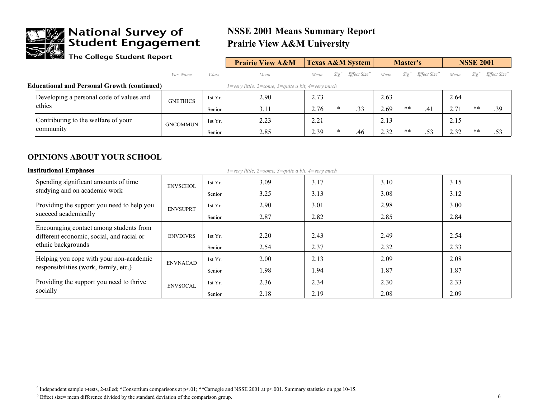

## **The National Survey of<br>Student Engagement**<br>The College Student Report

### **NSSE 2001 Means Summary Report Prairie View A&M University**

|        | -                                                  |                 |         | <b>Prairie View A&amp;M</b>                       |      |        | <b>Texas A&amp;M System</b>      |      | <b>Master's</b>  |                          |      | <b>NSSE 2001</b> |                          |
|--------|----------------------------------------------------|-----------------|---------|---------------------------------------------------|------|--------|----------------------------------|------|------------------|--------------------------|------|------------------|--------------------------|
|        |                                                    | Var. Name       | Class   | Mean                                              | Mean |        | $Sizea$ Effect Size <sup>n</sup> | Mean | Sig <sup>a</sup> | Effect Size <sup>o</sup> | Mean | $Size^{\prime}$  | Effect Size <sup>o</sup> |
|        | <b>Educational and Personal Growth (continued)</b> |                 |         | l=very little, 2=some, 3=quite a bit, 4=very much |      |        |                                  |      |                  |                          |      |                  |                          |
|        | Developing a personal code of values and           | <b>GNETHICS</b> | 1st Yr. | 2.90                                              | 2.73 |        |                                  | 2.63 |                  |                          | 2.64 |                  |                          |
| ethics |                                                    |                 | Senior  | 3.11                                              | 2.76 | $\ast$ | .33                              | 2.69 | **               | .41                      | 2.71 | $**$             | .39                      |
|        | Contributing to the welfare of your                | <b>GNCOMMUN</b> | 1st Yr. | 2.23                                              | 2.21 |        |                                  | 2.13 |                  |                          | 2.15 |                  |                          |
|        | community                                          |                 | Senior  | 2.85                                              | 2.39 | *      | .46                              | 2.32 | **               | .53                      | 2.32 | $**$             | .53                      |

#### **OPINIONS ABOUT YOUR SCHOOL**

| <b>Institutional Emphases</b>                                   |                 |         | $1 = \text{very little}, 2 = \text{some}, 3 = \text{quite a bit}, 4 = \text{very much}$ |      |      |      |  |
|-----------------------------------------------------------------|-----------------|---------|-----------------------------------------------------------------------------------------|------|------|------|--|
| Spending significant amounts of time                            | <b>ENVSCHOL</b> | 1st Yr. | 3.09                                                                                    | 3.17 | 3.10 | 3.15 |  |
| studying and on academic work                                   |                 | Senior  | 3.25                                                                                    | 3.13 | 3.08 | 3.12 |  |
| Providing the support you need to help you                      | <b>ENVSUPRT</b> | 1st Yr. | 2.90                                                                                    | 3.01 | 2.98 | 3.00 |  |
| succeed academically                                            |                 | Senior  | 2.87                                                                                    | 2.82 | 2.85 | 2.84 |  |
| Encouraging contact among students from                         | <b>ENVDIVRS</b> | 1st Yr. | 2.20                                                                                    | 2.43 | 2.49 | 2.54 |  |
| different economic, social, and racial or<br>ethnic backgrounds |                 | Senior  | 2.54                                                                                    | 2.37 | 2.32 | 2.33 |  |
| Helping you cope with your non-academic                         | <b>ENVNACAD</b> | 1st Yr. | 2.00                                                                                    | 2.13 | 2.09 | 2.08 |  |
| responsibilities (work, family, etc.)                           |                 | Senior  | 1.98                                                                                    | 1.94 | 1.87 | 1.87 |  |
| Providing the support you need to thrive                        | <b>ENVSOCAL</b> | 1st Yr. | 2.36                                                                                    | 2.34 | 2.30 | 2.33 |  |
| socially                                                        |                 | Senior  | 2.18                                                                                    | 2.19 | 2.08 | 2.09 |  |

<sup>a</sup> Independent sample t-tests, 2-tailed; \*Consortium comparisons at p<.01; \*\*Carnegie and NSSE 2001 at p<.001. Summary statistics on pgs 10-15.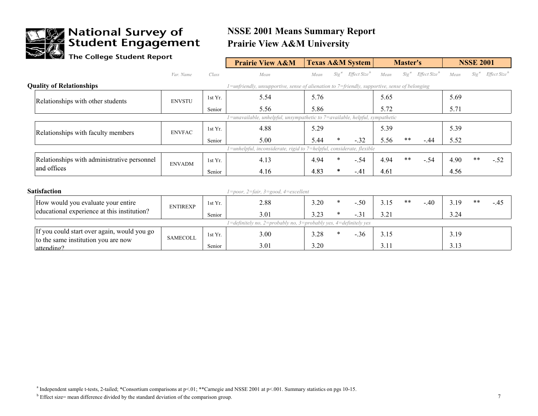

# **The National Survey of<br>Student Engagement**<br>The College Student Report

### **NSSE 2001 Means Summary Report Prairie View A&M University**

| $\blacksquare$ The Conege student Report                                           |                 |         | <b>Prairie View A&amp;M</b>                                                                   |      |         | <b>Texas A&amp;M System</b> |      | <b>Master's</b>  |                          |      | <b>NSSE 2001</b> |                          |
|------------------------------------------------------------------------------------|-----------------|---------|-----------------------------------------------------------------------------------------------|------|---------|-----------------------------|------|------------------|--------------------------|------|------------------|--------------------------|
|                                                                                    | Var. Name       | Class   | Mean                                                                                          | Mean | $Sig^a$ | Effect Size <sup>b</sup>    | Mean | Sig <sup>a</sup> | Effect Size <sup>b</sup> | Mean | Sig <sup>a</sup> | Effect Size <sup>b</sup> |
| <b>Quality of Relationships</b>                                                    |                 |         | 1=unfriendly, unsupportive, sense of alienation to 7=friendly, supportive, sense of belonging |      |         |                             |      |                  |                          |      |                  |                          |
| Relationships with other students                                                  | <b>ENVSTU</b>   | 1st Yr. | 5.54                                                                                          | 5.76 |         |                             | 5.65 |                  |                          | 5.69 |                  |                          |
|                                                                                    |                 | Senior  | 5.56                                                                                          | 5.86 |         |                             | 5.72 |                  |                          | 5.71 |                  |                          |
|                                                                                    |                 |         | l=unavailable, unhelpful, unsympathetic to 7=available, helpful, sympathetic                  |      |         |                             |      |                  |                          |      |                  |                          |
| Relationships with faculty members                                                 | <b>ENVFAC</b>   | 1st Yr. | 4.88                                                                                          | 5.29 |         |                             | 5.39 |                  |                          | 5.39 |                  |                          |
|                                                                                    |                 | Senior  | 5.00                                                                                          | 5.44 | $\ast$  | $-.32$                      | 5.56 | $***$            | $-.44$                   | 5.52 |                  |                          |
|                                                                                    |                 |         | 1=unhelpful, inconsiderate, rigid to 7=helpful, considerate, flexible                         |      |         |                             |      |                  |                          |      |                  |                          |
| Relationships with administrative personnel                                        | <b>ENVADM</b>   | 1st Yr. | 4.13                                                                                          | 4.94 | $\ast$  | $-.54$                      | 4.94 | $**$             | $-.54$                   | 4.90 | $***$            | $-.52$                   |
| and offices                                                                        |                 | Senior  | 4.16                                                                                          | 4.83 | $\ast$  | $-.41$                      | 4.61 |                  |                          | 4.56 |                  |                          |
|                                                                                    |                 |         |                                                                                               |      |         |                             |      |                  |                          |      |                  |                          |
| <b>Satisfaction</b>                                                                |                 |         | $1 = poor$ , $2 = fair$ , $3 = good$ , $4 = excellent$                                        |      |         |                             |      |                  |                          |      |                  |                          |
| How would you evaluate your entire                                                 | <b>ENTIREXP</b> | 1st Yr. | 2.88                                                                                          | 3.20 | $\ast$  | $-.50$                      | 3.15 | $***$            | $-.40$                   | 3.19 | $***$            | $-.45$                   |
| educational experience at this institution?                                        |                 | Senior  | 3.01                                                                                          | 3.23 | $\ast$  | $-31$                       | 3.21 |                  |                          | 3.24 |                  |                          |
|                                                                                    |                 |         | 1=definitely no, 2=probably no, 3=probably yes, 4=definitely yes                              |      |         |                             |      |                  |                          |      |                  |                          |
| If you could start over again, would you go<br>to the same institution you are now | <b>SAMECOLL</b> | 1st Yr. | 3.00                                                                                          | 3.28 | $\ast$  | $-.36$                      | 3.15 |                  |                          | 3.19 |                  |                          |
| attending?                                                                         |                 | Senior  | 3.01                                                                                          | 3.20 |         |                             | 3.11 |                  |                          | 3.13 |                  |                          |

<sup>a</sup> Independent sample t-tests, 2-tailed; \*Consortium comparisons at p<.01; \*\*Carnegie and NSSE 2001 at p<.001. Summary statistics on pgs 10-15.

 $b$  Effect size= mean difference divided by the standard deviation of the comparison group. 7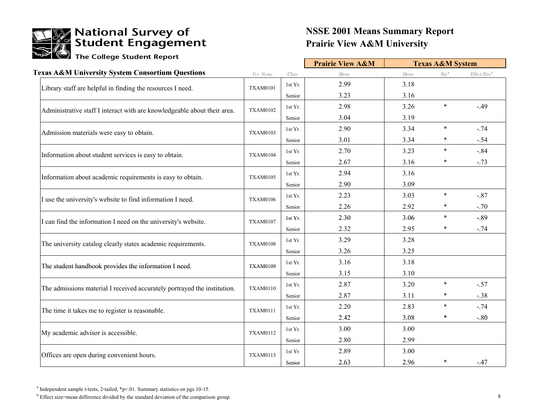

### **Prairie View A&M University NSSE 2001 Means Summary Report**

|                                                                          |                 |         | <b>Prairie View A&amp;M</b> |      | <b>Texas A&amp;M System</b> |                          |
|--------------------------------------------------------------------------|-----------------|---------|-----------------------------|------|-----------------------------|--------------------------|
| <b>Texas A&amp;M University System Consortium Questions</b>              | Vcr. Ncme       | Class   | Mean                        | Mean | $Sig^a$                     | Effect Size <sup>b</sup> |
| Library staff are helpful in finding the resources I need.               | <b>TXAM0101</b> | 1st Yr. | 2.99                        | 3.18 |                             |                          |
|                                                                          |                 | Senior  | 3.23                        | 3.16 |                             |                          |
| Administrative staff I interact with are knowledgeable about their area. | <b>TXAM0102</b> | 1st Yr. | 2.98                        | 3.26 | $\ast$                      | $-.49$                   |
|                                                                          |                 | Senior  | 3.04                        | 3.19 |                             |                          |
| Admission materials were easy to obtain.                                 | <b>TXAM0103</b> | 1st Yr. | 2.90                        | 3.34 | $\ast$                      | $-.74$                   |
|                                                                          |                 | Senior  | 3.01                        | 3.34 | *                           | $-.54$                   |
| Information about student services is easy to obtain.                    | <b>TXAM0104</b> | 1st Yr. | 2.70                        | 3.23 | $\ast$                      | $-.84$                   |
|                                                                          |                 | Senior  | 2.67                        | 3.16 | ∗                           | $-.73$                   |
| Information about academic requirements is easy to obtain.               | <b>TXAM0105</b> | 1st Yr. | 2.94                        | 3.16 |                             |                          |
|                                                                          |                 | Senior  | 2.90                        | 3.09 |                             |                          |
| I use the university's website to find information I need.               | <b>TXAM0106</b> | 1st Yr. | 2.23                        | 3.03 | $\ast$                      | $-.87$                   |
|                                                                          |                 | Senior  | 2.26                        | 2.92 | $\ast$                      | $-.70$                   |
| I can find the information I need on the university's website.           | <b>TXAM0107</b> | 1st Yr. | 2.30                        | 3.06 | $\star$                     | $-.89$                   |
|                                                                          |                 | Senior  | 2.32                        | 2.95 | $\ast$                      | $-.74$                   |
| The university catalog clearly states academic requirements.             | <b>TXAM0108</b> | 1st Yr. | 3.29                        | 3.28 |                             |                          |
|                                                                          |                 | Senior  | 3.26                        | 3.25 |                             |                          |
| The student handbook provides the information I need.                    | <b>TXAM0109</b> | 1st Yr. | 3.16                        | 3.18 |                             |                          |
|                                                                          |                 | Senior  | 3.15                        | 3.10 |                             |                          |
| The admissions material I received accurately portrayed the institution. | <b>TXAM0110</b> | 1st Yr. | 2.87                        | 3.20 | $\ast$                      | $-.57$                   |
|                                                                          |                 | Senior  | 2.87                        | 3.11 | $\ast$                      | $-.38$                   |
| The time it takes me to register is reasonable.                          | <b>TXAM0111</b> | 1st Yr. | 2.20                        | 2.83 | $\ast$                      | $-.74$                   |
|                                                                          |                 | Senior  | 2.42                        | 3.08 | ∗                           | $-.80$                   |
| My academic advisor is accessible.                                       | <b>TXAM0112</b> | 1st Yr. | 3.00                        | 3.00 |                             |                          |
|                                                                          |                 | Senior  | 2.80                        | 2.99 |                             |                          |
| Offices are open during convenient hours.                                | <b>TXAM0113</b> | 1st Yr. | 2.89                        | 3.00 |                             |                          |
|                                                                          |                 | Senior  | 2.63                        | 2.96 | $\ast$                      | $-.47$                   |

 $^a$  Independent sample t-tests, 2-tailed, \*p<.01. Summary statistics on pgs 10-15.

 $b$  Effect size=mean difference divided by the standard deviation of the comparison group. 8